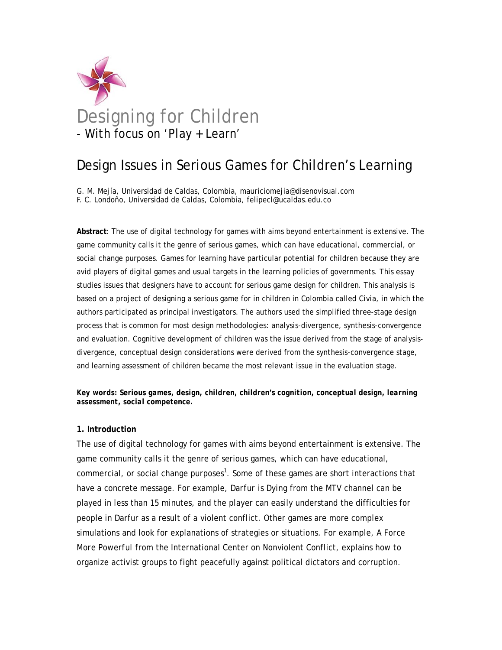

# Design Issues in Serious Games for Children's Learning

G. M. Mejía, Universidad de Caldas, Colombia, mauriciomejia@disenovisual.com F. C. Londoño, Universidad de Caldas, Colombia, felipecl@ucaldas.edu.co

**Abstract**: The use of digital technology for games with aims beyond entertainment is extensive. The game community calls it the genre of serious games, which can have educational, commercial, or social change purposes. Games for learning have particular potential for children because they are avid players of digital games and usual targets in the learning policies of governments. This essay studies issues that designers have to account for serious game design for children. This analysis is based on a project of designing a serious game for in children in Colombia called *Civia*, in which the authors participated as principal investigators. The authors used the simplified three-stage design process that is common for most design methodologies: analysis-divergence, synthesis-convergence and evaluation. Cognitive development of children was the issue derived from the stage of analysisdivergence, conceptual design considerations were derived from the synthesis-convergence stage, and learning assessment of children became the most relevant issue in the evaluation stage.

*Key words: Serious games, design, children, children's cognition, conceptual design, learning assessment, social competence.* 

# **1. Introduction**

The use of digital technology for games with aims beyond entertainment is extensive. The game community calls it the genre of serious games, which can have educational, commercial, or social change purposes<sup>1</sup>. Some of these games are short interactions that have a concrete message. For example, *Darfur is Dying* from the MTV channel can be played in less than 15 minutes, and the player can easily understand the difficulties for people in Darfur as a result of a violent conflict. Other games are more complex simulations and look for explanations of strategies or situations. For example, *A Force More Powerful* from the International Center on Nonviolent Conflict, explains how to organize activist groups to fight peacefully against political dictators and corruption.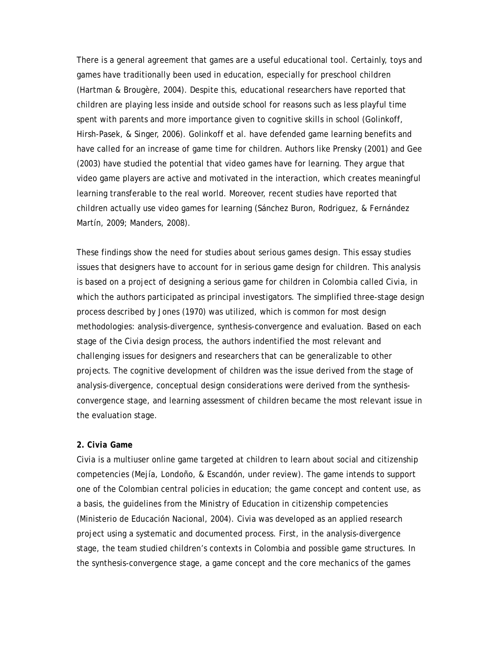There is a general agreement that games are a useful educational tool. Certainly, toys and games have traditionally been used in education, especially for preschool children (Hartman & Brougère, 2004). Despite this, educational researchers have reported that children are playing less inside and outside school for reasons such as less playful time spent with parents and more importance given to cognitive skills in school (Golinkoff, Hirsh-Pasek, & Singer, 2006). Golinkoff et al. have defended game learning benefits and have called for an increase of game time for children. Authors like Prensky (2001) and Gee (2003) have studied the potential that video games have for learning. They argue that video game players are active and motivated in the interaction, which creates meaningful learning transferable to the real world. Moreover, recent studies have reported that children actually use video games for learning (Sánchez Buron, Rodriguez, & Fernández Martín, 2009; Manders, 2008).

These findings show the need for studies about serious games design. This essay studies issues that designers have to account for in serious game design for children. This analysis is based on a project of designing a serious game for children in Colombia called *Civia*, in which the authors participated as principal investigators. The simplified three-stage design process described by Jones (1970) was utilized, which is common for most design methodologies: analysis-divergence, synthesis-convergence and evaluation. Based on each stage of the *Civia* design process, the authors indentified the most relevant and challenging issues for designers and researchers that can be generalizable to other projects. The cognitive development of children was the issue derived from the stage of analysis-divergence, conceptual design considerations were derived from the synthesisconvergence stage, and learning assessment of children became the most relevant issue in the evaluation stage.

# **2.** *Civia* **Game**

*Civia* is a multiuser online game targeted at children to learn about social and citizenship competencies (Mejía, Londoño, & Escandón, under review). The game intends to support one of the Colombian central policies in education; the game concept and content use, as a basis, the guidelines from the Ministry of Education in citizenship competencies (Ministerio de Educación Nacional, 2004). *Civia* was developed as an applied research project using a systematic and documented process. First, in the analysis-divergence stage, the team studied children's contexts in Colombia and possible game structures. In the synthesis-convergence stage, a game concept and the core mechanics of the games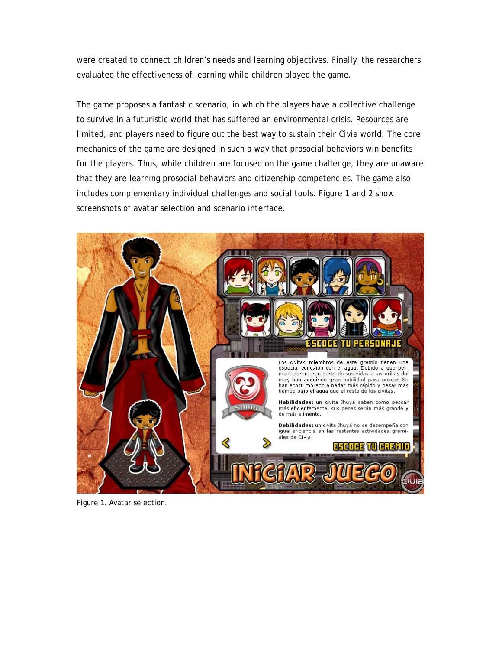were created to connect children's needs and learning objectives. Finally, the researchers evaluated the effectiveness of learning while children played the game.

The game proposes a fantastic scenario, in which the players have a collective challenge to survive in a futuristic world that has suffered an environmental crisis. Resources are limited, and players need to figure out the best way to sustain their *Civia* world. The core mechanics of the game are designed in such a way that prosocial behaviors win benefits for the players. Thus, while children are focused on the game challenge, they are unaware that they are learning prosocial behaviors and citizenship competencies. The game also includes complementary individual challenges and social tools. Figure 1 and 2 show screenshots of avatar selection and scenario interface.



Figure 1. Avatar selection.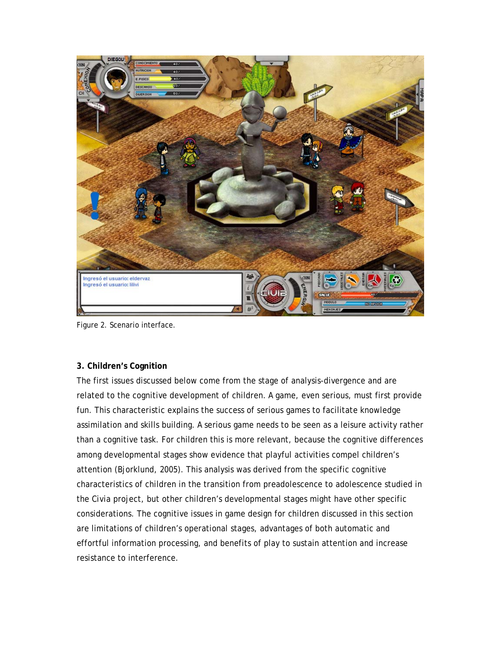

Figure 2. Scenario interface.

# **3. Children's Cognition**

The first issues discussed below come from the stage of analysis-divergence and are related to the cognitive development of children. A game, even serious, must first provide fun. This characteristic explains the success of serious games to facilitate knowledge assimilation and skills building. A serious game needs to be seen as a leisure activity rather than a cognitive task. For children this is more relevant, because the cognitive differences among developmental stages show evidence that playful activities compel children's attention (Bjorklund, 2005). This analysis was derived from the specific cognitive characteristics of children in the transition from preadolescence to adolescence studied in the *Civia* project, but other children's developmental stages might have other specific considerations. The cognitive issues in game design for children discussed in this section are limitations of children's operational stages, advantages of both automatic and effortful information processing, and benefits of play to sustain attention and increase resistance to interference.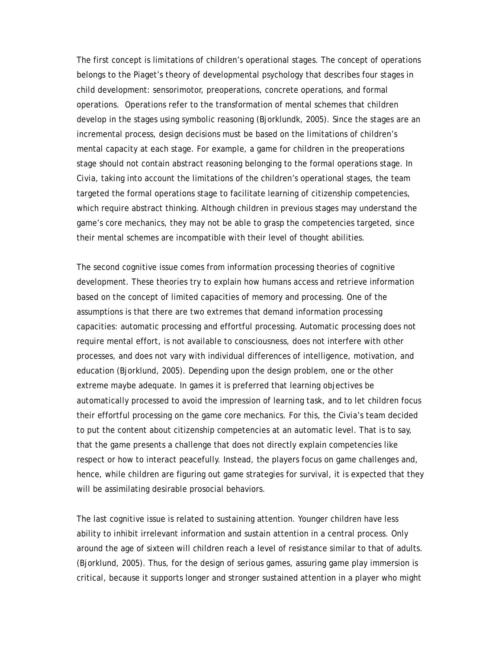The first concept is limitations of children's operational stages. The concept of operations belongs to the Piaget's theory of developmental psychology that describes four stages in child development: sensorimotor, preoperations, concrete operations, and formal operations. Operations refer to the transformation of mental schemes that children develop in the stages using symbolic reasoning (Bjorklundk, 2005). Since the stages are an incremental process, design decisions must be based on the limitations of children's mental capacity at each stage. For example, a game for children in the preoperations stage should not contain abstract reasoning belonging to the formal operations stage. In *Civia*, taking into account the limitations of the children's operational stages, the team targeted the formal operations stage to facilitate learning of citizenship competencies, which require abstract thinking. Although children in previous stages may understand the game's core mechanics, they may not be able to grasp the competencies targeted, since their mental schemes are incompatible with their level of thought abilities.

The second cognitive issue comes from information processing theories of cognitive development. These theories try to explain how humans access and retrieve information based on the concept of limited capacities of memory and processing. One of the assumptions is that there are two extremes that demand information processing capacities: automatic processing and effortful processing. Automatic processing does not require mental effort, is not available to consciousness, does not interfere with other processes, and does not vary with individual differences of intelligence, motivation, and education (Bjorklund, 2005). Depending upon the design problem, one or the other extreme maybe adequate. In games it is preferred that learning objectives be automatically processed to avoid the impression of learning task, and to let children focus their effortful processing on the game core mechanics. For this, the *Civia*'s team decided to put the content about citizenship competencies at an automatic level. That is to say, that the game presents a challenge that does not directly explain competencies like respect or how to interact peacefully. Instead, the players focus on game challenges and, hence, while children are figuring out game strategies for survival, it is expected that they will be assimilating desirable prosocial behaviors.

The last cognitive issue is related to sustaining attention. Younger children have less ability to inhibit irrelevant information and sustain attention in a central process. Only around the age of sixteen will children reach a level of resistance similar to that of adults. (Bjorklund, 2005). Thus, for the design of serious games, assuring game play immersion is critical, because it supports longer and stronger sustained attention in a player who might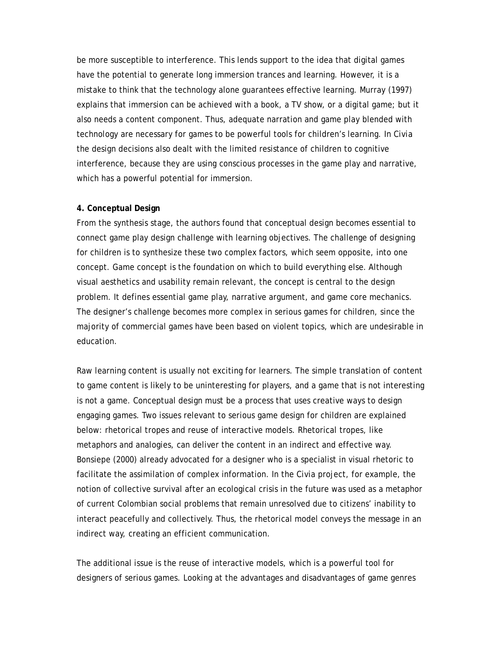be more susceptible to interference. This lends support to the idea that digital games have the potential to generate long immersion trances and learning. However, it is a mistake to think that the technology alone guarantees effective learning. Murray (1997) explains that immersion can be achieved with a book, a TV show, or a digital game; but it also needs a content component. Thus, adequate narration and game play blended with technology are necessary for games to be powerful tools for children's learning. In *Civia*  the design decisions also dealt with the limited resistance of children to cognitive interference, because they are using conscious processes in the game play and narrative, which has a powerful potential for immersion.

# **4. Conceptual Design**

From the synthesis stage, the authors found that conceptual design becomes essential to connect game play design challenge with learning objectives. The challenge of designing for children is to synthesize these two complex factors, which seem opposite, into one concept. Game concept is the foundation on which to build everything else. Although visual aesthetics and usability remain relevant, the concept is central to the design problem. It defines essential game play, narrative argument, and game core mechanics. The designer's challenge becomes more complex in serious games for children, since the majority of commercial games have been based on violent topics, which are undesirable in education.

Raw learning content is usually not exciting for learners. The simple translation of content to game content is likely to be uninteresting for players, and a game that is not interesting is not a game. Conceptual design must be a process that uses creative ways to design engaging games. Two issues relevant to serious game design for children are explained below: rhetorical tropes and reuse of interactive models. Rhetorical tropes, like metaphors and analogies, can deliver the content in an indirect and effective way. Bonsiepe (2000) already advocated for a designer who is a specialist in visual rhetoric to facilitate the assimilation of complex information. In the *Civia* project, for example, the notion of collective survival after an ecological crisis in the future was used as a metaphor of current Colombian social problems that remain unresolved due to citizens' inability to interact peacefully and collectively. Thus, the rhetorical model conveys the message in an indirect way, creating an efficient communication.

The additional issue is the reuse of interactive models, which is a powerful tool for designers of serious games. Looking at the advantages and disadvantages of game genres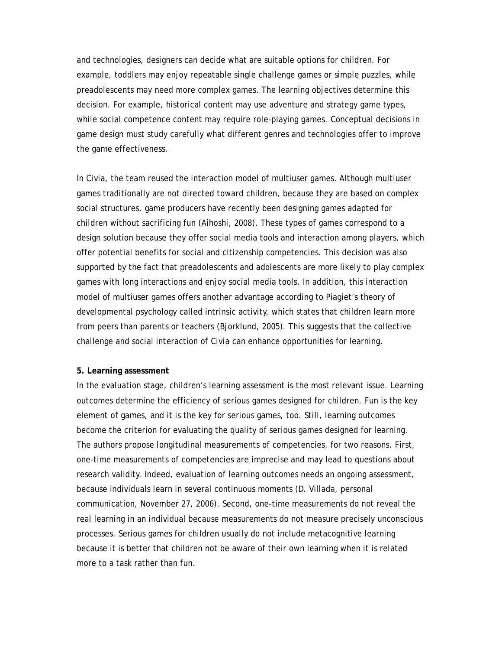and technologies, designers can decide what are suitable options for children. For example, toddlers may enjoy repeatable single challenge games or simple puzzles, while preadolescents may need more complex games. The learning objectives determine this decision. For example, historical content may use adventure and strategy game types, while social competence content may require role-playing games. Conceptual decisions in game design must study carefully what different genres and technologies offer to improve the game effectiveness.

In *Civia,* the team reused the interaction model of multiuser games. Although multiuser games traditionally are not directed toward children, because they are based on complex social structures, game producers have recently been designing games adapted for children without sacrificing fun (Aihoshi, 2008). These types of games correspond to a design solution because they offer social media tools and interaction among players, which offer potential benefits for social and citizenship competencies. This decision was also supported by the fact that preadolescents and adolescents are more likely to play complex games with long interactions and enjoy social media tools. In addition, this interaction model of multiuser games offers another advantage according to Piagiet's theory of developmental psychology called intrinsic activity, which states that children learn more from peers than parents or teachers (Bjorklund, 2005). This suggests that the collective challenge and social interaction of *Civia* can enhance opportunities for learning.

#### **5. Learning assessment**

In the evaluation stage, children's learning assessment is the most relevant issue. Learning outcomes determine the efficiency of serious games designed for children. Fun is the key element of games, and it is the key for serious games, too. Still, learning outcomes become the criterion for evaluating the quality of serious games designed for learning. The authors propose longitudinal measurements of competencies, for two reasons. First, one-time measurements of competencies are imprecise and may lead to questions about research validity. Indeed, evaluation of learning outcomes needs an ongoing assessment, because individuals learn in several continuous moments (D. Villada, personal communication, November 27, 2006). Second, one-time measurements do not reveal the real learning in an individual because measurements do not measure precisely unconscious processes. Serious games for children usually do not include metacognitive learning because it is better that children not be aware of their own learning when it is related more to a task rather than fun.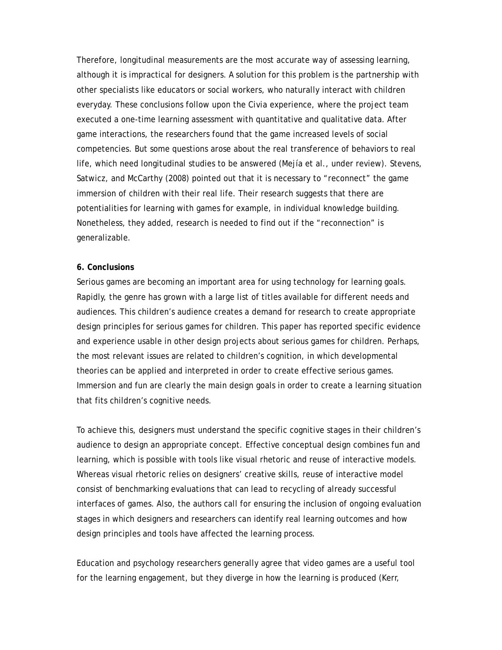Therefore, longitudinal measurements are the most accurate way of assessing learning, although it is impractical for designers. A solution for this problem is the partnership with other specialists like educators or social workers, who naturally interact with children everyday. These conclusions follow upon the *Civia* experience, where the project team executed a one-time learning assessment with quantitative and qualitative data. After game interactions, the researchers found that the game increased levels of social competencies. But some questions arose about the real transference of behaviors to real life, which need longitudinal studies to be answered (Mejía et al., under review). Stevens, Satwicz, and McCarthy (2008) pointed out that it is necessary to "reconnect" the game immersion of children with their real life. Their research suggests that there are potentialities for learning with games for example, in individual knowledge building. Nonetheless, they added, research is needed to find out if the "reconnection" is generalizable.

# **6. Conclusions**

Serious games are becoming an important area for using technology for learning goals. Rapidly, the genre has grown with a large list of titles available for different needs and audiences. This children's audience creates a demand for research to create appropriate design principles for serious games for children. This paper has reported specific evidence and experience usable in other design projects about serious games for children. Perhaps, the most relevant issues are related to children's cognition, in which developmental theories can be applied and interpreted in order to create effective serious games. Immersion and fun are clearly the main design goals in order to create a learning situation that fits children's cognitive needs.

To achieve this, designers must understand the specific cognitive stages in their children's audience to design an appropriate concept. Effective conceptual design combines fun and learning, which is possible with tools like visual rhetoric and reuse of interactive models. Whereas visual rhetoric relies on designers' creative skills, reuse of interactive model consist of benchmarking evaluations that can lead to recycling of already successful interfaces of games. Also, the authors call for ensuring the inclusion of ongoing evaluation stages in which designers and researchers can identify real learning outcomes and how design principles and tools have affected the learning process.

Education and psychology researchers generally agree that video games are a useful tool for the learning engagement, but they diverge in how the learning is produced (Kerr,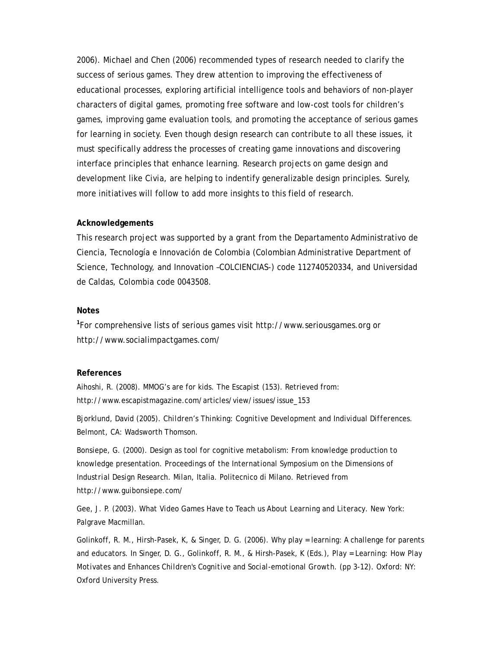2006). Michael and Chen (2006) recommended types of research needed to clarify the success of serious games. They drew attention to improving the effectiveness of educational processes, exploring artificial intelligence tools and behaviors of non-player characters of digital games, promoting free software and low-cost tools for children's games, improving game evaluation tools, and promoting the acceptance of serious games for learning in society. Even though design research can contribute to all these issues, it must specifically address the processes of creating game innovations and discovering interface principles that enhance learning. Research projects on game design and development like *Civia,* are helping to indentify generalizable design principles. Surely, more initiatives will follow to add more insights to this field of research.

### **Acknowledgements**

This research project was supported by a grant from the Departamento Administrativo de Ciencia, Tecnología e Innovación de Colombia (Colombian Administrative Department of Science, Technology, and Innovation –COLCIENCIAS-) code 112740520334, and Universidad de Caldas, Colombia code 0043508.

# **Notes**

**1** For comprehensive lists of serious games visit http://www.seriousgames.org or http://www.socialimpactgames.com/

#### **References**

Aihoshi, R. (2008). MMOG's are for kids. *The Escapist (153).* Retrieved from: http://www.escapistmagazine.com/articles/view/issues/issue\_153

Bjorklund, David (2005). *Children's Thinking: Cognitive Development and Individual Differences*. Belmont, CA: Wadsworth Thomson.

Bonsiepe, G. (2000). Design as tool for cognitive metabolism: From knowledge production to knowledge presentation. *Proceedings of the International Symposium on the Dimensions of Industrial Design Research.* Milan, Italia. Politecnico di Milano. Retrieved from http://www.guibonsiepe.com/

Gee, J. P. (2003). *What Video Games Have to Teach us About Learning and Literacy*. New York: Palgrave Macmillan.

Golinkoff, R. M., Hirsh-Pasek, K, & Singer, D. G. (2006). Why play = learning: A challenge for parents and educators. In Singer, D. G., Golinkoff, R. M., & Hirsh-Pasek, K (Eds.), *Play = Learning: How Play Motivates and Enhances Children's Cognitive and Social-emotional Growth*. (pp 3-12). Oxford: NY: Oxford University Press.